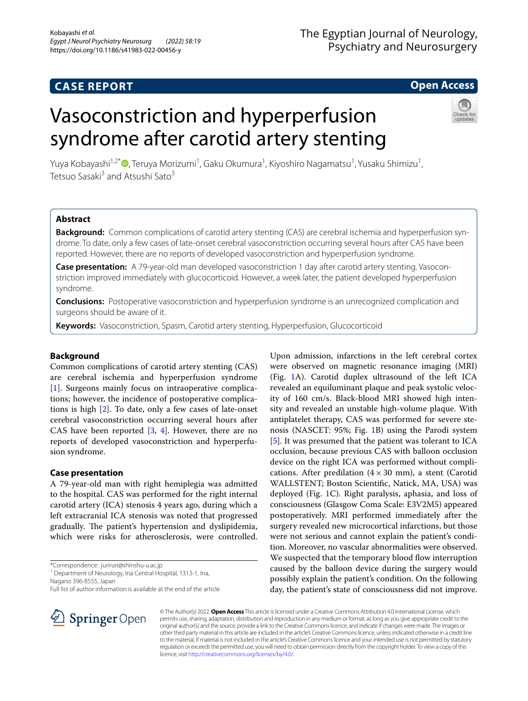# **CASE REPORT**

# The Egyptian Journal of Neurology, Psychiatry and Neurosurgery

# **Open Access**

# Vasoconstriction and hyperperfusion syndrome after carotid artery stenting



Yuya Kobayashi<sup>1,2\*</sup>®[,](http://orcid.org/0000-0002-3447-4410) Teruya Morizumi<sup>1</sup>, Gaku Okumura<sup>1</sup>, Kiyoshiro Nagamatsu<sup>1</sup>, Yusaku Shimizu<sup>1</sup>, Tetsuo Sasaki<sup>3</sup> and Atsushi Sato<sup>3</sup>

# **Abstract**

**Background:** Common complications of carotid artery stenting (CAS) are cerebral ischemia and hyperperfusion syndrome. To date, only a few cases of late-onset cerebral vasoconstriction occurring several hours after CAS have been reported. However, there are no reports of developed vasoconstriction and hyperperfusion syndrome.

**Case presentation:** A 79-year-old man developed vasoconstriction 1 day after carotid artery stenting. Vasoconstriction improved immediately with glucocorticoid. However, a week later, the patient developed hyperperfusion syndrome.

**Conclusions:** Postoperative vasoconstriction and hyperperfusion syndrome is an unrecognized complication and surgeons should be aware of it.

**Keywords:** Vasoconstriction, Spasm, Carotid artery stenting, Hyperperfusion, Glucocorticoid

# **Background**

Common complications of carotid artery stenting (CAS) are cerebral ischemia and hyperperfusion syndrome [[1\]](#page-2-0). Surgeons mainly focus on intraoperative complications; however, the incidence of postoperative complications is high [\[2](#page-2-1)]. To date, only a few cases of late-onset cerebral vasoconstriction occurring several hours after CAS have been reported  $[3, 4]$  $[3, 4]$  $[3, 4]$  $[3, 4]$ . However, there are no reports of developed vasoconstriction and hyperperfusion syndrome.

# **Case presentation**

A 79-year-old man with right hemiplegia was admitted to the hospital. CAS was performed for the right internal carotid artery (ICA) stenosis 4 years ago, during which a left extracranial ICA stenosis was noted that progressed gradually. The patient's hypertension and dyslipidemia, which were risks for atherosclerosis, were controlled.

\*Correspondence: juriruri@shinshu-u.ac.jp

<sup>1</sup> Department of Neurology, Ina Central Hospital, 1313-1, Ina,

Nagano 396-8555, Japan

were observed on magnetic resonance imaging (MRI) (Fig. [1](#page-1-0)A). Carotid duplex ultrasound of the left ICA revealed an equiluminant plaque and peak systolic velocity of 160 cm/s. Black-blood MRI showed high intensity and revealed an unstable high-volume plaque. With antiplatelet therapy, CAS was performed for severe stenosis (NASCET: 95%; Fig. [1B](#page-1-0)) using the Parodi system [[5\]](#page-2-4). It was presumed that the patient was tolerant to ICA occlusion, because previous CAS with balloon occlusion device on the right ICA was performed without complications. After predilation  $(4 \times 30 \text{ mm})$ , a stent (Carotid WALLSTENT; Boston Scientifc, Natick, MA, USA) was deployed (Fig. [1](#page-1-0)C). Right paralysis, aphasia, and loss of consciousness (Glasgow Coma Scale: E3V2M5) appeared postoperatively. MRI performed immediately after the surgery revealed new microcortical infarctions, but those were not serious and cannot explain the patient's condition. Moreover, no vascular abnormalities were observed. We suspected that the temporary blood flow interruption caused by the balloon device during the surgery would possibly explain the patient's condition. On the following day, the patient's state of consciousness did not improve.

Upon admission, infarctions in the left cerebral cortex



© The Author(s) 2022. **Open Access** This article is licensed under a Creative Commons Attribution 4.0 International License, which permits use, sharing, adaptation, distribution and reproduction in any medium or format, as long as you give appropriate credit to the original author(s) and the source, provide a link to the Creative Commons licence, and indicate if changes were made. The images or other third party material in this article are included in the article's Creative Commons licence, unless indicated otherwise in a credit line to the material. If material is not included in the article's Creative Commons licence and your intended use is not permitted by statutory regulation or exceeds the permitted use, you will need to obtain permission directly from the copyright holder. To view a copy of this licence, visit [http://creativecommons.org/licenses/by/4.0/.](http://creativecommons.org/licenses/by/4.0/)

Full list of author information is available at the end of the article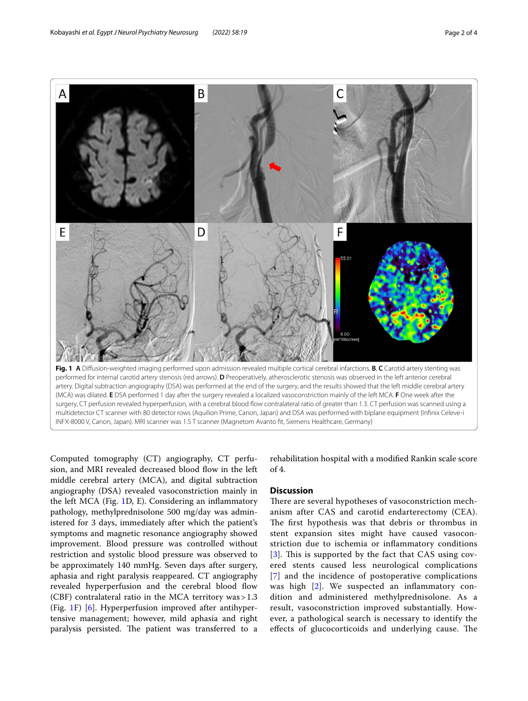

<span id="page-1-0"></span>artery. Digital subtraction angiography (DSA) was performed at the end of the surgery, and the results showed that the left middle cerebral artery (MCA) was dilated. **E** DSA performed 1 day after the surgery revealed a localized vasoconstriction mainly of the left MCA. **F** One week after the surgery, CT perfusion revealed hyperperfusion, with a cerebral blood fow contralateral ratio of greater than 1.3. CT perfusion was scanned using a multidetector CT scanner with 80 detector rows (Aquilion Prime, Canon, Japan) and DSA was performed with biplane equipment (Infnix Celeve-i INFX-8000 V, Canon, Japan). MRI scanner was 1.5 T scanner (Magnetom Avanto ft, Siemens Healthcare, Germany)

Computed tomography (CT) angiography, CT perfusion, and MRI revealed decreased blood flow in the left middle cerebral artery (MCA), and digital subtraction angiography (DSA) revealed vasoconstriction mainly in the left MCA (Fig. [1D](#page-1-0), E). Considering an infammatory pathology, methylprednisolone 500 mg/day was administered for 3 days, immediately after which the patient's symptoms and magnetic resonance angiography showed improvement. Blood pressure was controlled without restriction and systolic blood pressure was observed to be approximately 140 mmHg. Seven days after surgery, aphasia and right paralysis reappeared. CT angiography revealed hyperperfusion and the cerebral blood flow (CBF) contralateral ratio in the MCA territory was>1.3 (Fig. [1](#page-1-0)F) [\[6](#page-3-0)]. Hyperperfusion improved after antihypertensive management; however, mild aphasia and right paralysis persisted. The patient was transferred to a

rehabilitation hospital with a modifed Rankin scale score of 4.

# **Discussion**

There are several hypotheses of vasoconstriction mechanism after CAS and carotid endarterectomy (CEA). The first hypothesis was that debris or thrombus in stent expansion sites might have caused vasoconstriction due to ischemia or infammatory conditions [[3](#page-2-2)]. This is supported by the fact that CAS using covered stents caused less neurological complications [[7](#page-3-1)] and the incidence of postoperative complications was high [[2\]](#page-2-1). We suspected an inflammatory condition and administered methylprednisolone. As a result, vasoconstriction improved substantially. However, a pathological search is necessary to identify the effects of glucocorticoids and underlying cause. The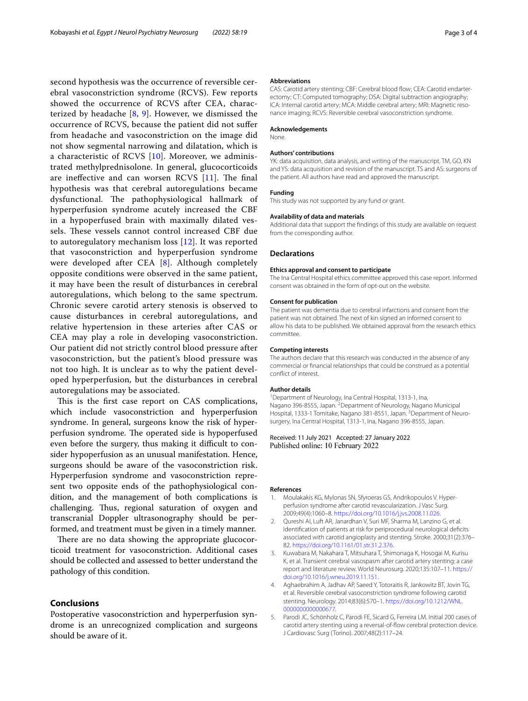second hypothesis was the occurrence of reversible cerebral vasoconstriction syndrome (RCVS). Few reports showed the occurrence of RCVS after CEA, characterized by headache [\[8](#page-3-2), [9](#page-3-3)]. However, we dismissed the occurrence of RCVS, because the patient did not sufer from headache and vasoconstriction on the image did not show segmental narrowing and dilatation, which is a characteristic of RCVS  $[10]$  $[10]$  $[10]$ . Moreover, we administrated methylprednisolone. In general, glucocorticoids are ineffective and can worsen RCVS [\[11](#page-3-5)]. The final hypothesis was that cerebral autoregulations became dysfunctional. The pathophysiological hallmark of hyperperfusion syndrome acutely increased the CBF in a hypoperfused brain with maximally dilated vessels. These vessels cannot control increased CBF due to autoregulatory mechanism loss [[12](#page-3-6)]. It was reported that vasoconstriction and hyperperfusion syndrome were developed after CEA [[8\]](#page-3-2). Although completely opposite conditions were observed in the same patient, it may have been the result of disturbances in cerebral autoregulations, which belong to the same spectrum. Chronic severe carotid artery stenosis is observed to cause disturbances in cerebral autoregulations, and relative hypertension in these arteries after CAS or CEA may play a role in developing vasoconstriction. Our patient did not strictly control blood pressure after vasoconstriction, but the patient's blood pressure was not too high. It is unclear as to why the patient developed hyperperfusion, but the disturbances in cerebral autoregulations may be associated.

This is the first case report on CAS complications, which include vasoconstriction and hyperperfusion syndrome. In general, surgeons know the risk of hyperperfusion syndrome. The operated side is hypoperfused even before the surgery, thus making it difficult to consider hypoperfusion as an unusual manifestation. Hence, surgeons should be aware of the vasoconstriction risk. Hyperperfusion syndrome and vasoconstriction represent two opposite ends of the pathophysiological condition, and the management of both complications is challenging. Thus, regional saturation of oxygen and transcranial Doppler ultrasonography should be performed, and treatment must be given in a timely manner.

There are no data showing the appropriate glucocorticoid treatment for vasoconstriction. Additional cases should be collected and assessed to better understand the pathology of this condition.

# **Conclusions**

Postoperative vasoconstriction and hyperperfusion syndrome is an unrecognized complication and surgeons should be aware of it.

## **Abbreviations**

CAS: Carotid artery stenting; CBF: Cerebral blood flow; CEA: Carotid endarterectomy; CT: Computed tomography; DSA: Digital subtraction angiography; ICA: Internal carotid artery; MCA: Middle cerebral artery; MRI: Magnetic resonance imaging; RCVS: Reversible cerebral vasoconstriction syndrome.

#### **Acknowledgements**

None.

## **Authors' contributions**

YK: data acquisition, data analysis, and writing of the manuscript. TM, GO, KN and YS: data acquisition and revision of the manuscript. TS and AS: surgeons of the patient. All authors have read and approved the manuscript.

## **Funding**

This study was not supported by any fund or grant.

## **Availability of data and materials**

Additional data that support the fndings of this study are available on request from the corresponding author.

#### **Declarations**

#### **Ethics approval and consent to participate**

The Ina Central Hospital ethics committee approved this case report. Informed consent was obtained in the form of opt-out on the website.

#### **Consent for publication**

The patient was dementia due to cerebral infarctions and consent from the patient was not obtained. The next of kin signed an informed consent to allow his data to be published. We obtained approval from the research ethics committee.

#### **Competing interests**

The authors declare that this research was conducted in the absence of any commercial or fnancial relationships that could be construed as a potential confict of interest.

#### **Author details**

<sup>1</sup> Department of Neurology, Ina Central Hospital, 1313-1, Ina, Nagano 396-8555, Japan. <sup>2</sup> Department of Neurology, Nagano Municipal Hospital, 1333-1 Tomitake, Nagano 381-8551, Japan. <sup>3</sup> Department of Neurosurgery, Ina Central Hospital, 1313-1, Ina, Nagano 396-8555, Japan.

## Received: 11 July 2021 Accepted: 27 January 2022 Published online: 10 February 2022

#### **References**

- <span id="page-2-0"></span>1. Moulakakis KG, Mylonas SN, Sfyroeras GS, Andrikopoulos V. Hyperperfusion syndrome after carotid revascularization. J Vasc Surg. 2009;49(4):1060–8. <https://doi.org/10.1016/j.jvs.2008.11.026>.
- <span id="page-2-1"></span>2. Qureshi AI, Luft AR, Janardhan V, Suri MF, Sharma M, Lanzino G, et al. Identifcation of patients at risk for periprocedural neurological defcits associated with carotid angioplasty and stenting. Stroke. 2000;31(2):376– 82. <https://doi.org/10.1161/01.str.31.2.376>.
- <span id="page-2-2"></span>3. Kuwabara M, Nakahara T, Mitsuhara T, Shimonaga K, Hosogai M, Kurisu K, et al. Transient cerebral vasospasm after carotid artery stenting: a case report and literature review. World Neurosurg. 2020;135:107–11. [https://](https://doi.org/10.1016/j.wneu.2019.11.151) [doi.org/10.1016/j.wneu.2019.11.151](https://doi.org/10.1016/j.wneu.2019.11.151).
- <span id="page-2-3"></span>4. Aghaebrahim A, Jadhav AP, Saeed Y, Totoraitis R, Jankowitz BT, Jovin TG, et al. Reversible cerebral vasoconstriction syndrome following carotid stenting. Neurology. 2014;83(6):570–1. [https://doi.org/10.1212/WNL.](https://doi.org/10.1212/WNL.0000000000000677) [0000000000000677](https://doi.org/10.1212/WNL.0000000000000677).
- <span id="page-2-4"></span>5. Parodi JC, Schönholz C, Parodi FE, Sicard G, Ferreira LM. Initial 200 cases of carotid artery stenting using a reversal-of-fow cerebral protection device. J Cardiovasc Surg (Torino). 2007;48(2):117–24.